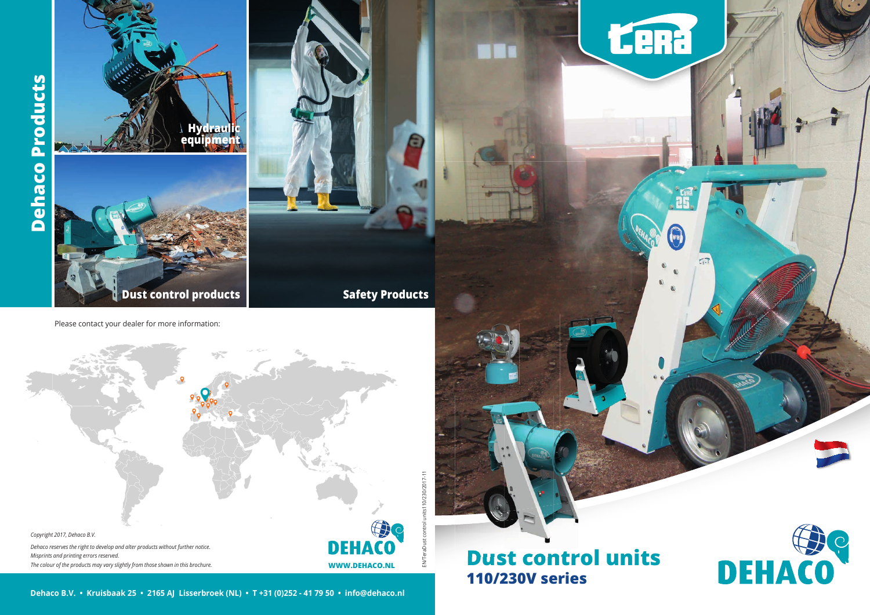# **Dust control units 110/230V series**





Please contact your dealer for more information:





**WWW.DEHACO.NL Dehaco B.V.**<br>
• **Constitution Products**<br> **DEHACON**<br> **DEHACON**<br> **DEHACON** *Copyright 2017, Dehaco B.V. Dehaco reserves the right to develop and alter products without further notice. Misprints and printing errors reserved. The colour of the products may vary slightly from those shown in this brochure.*

0/230/2017-11 EN/TeraDust control units110/230/2017-11 ENTE